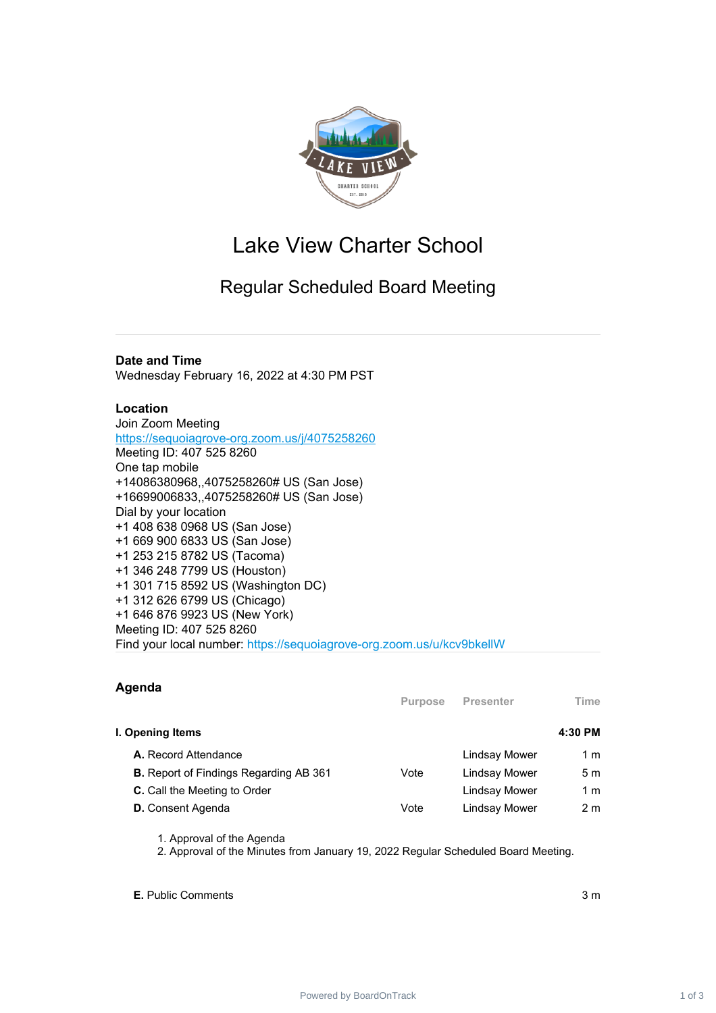

# Lake View Charter School

# Regular Scheduled Board Meeting

## **Date and Time**

Wednesday February 16, 2022 at 4:30 PM PST

### **Location**

Join Zoom Meeting <https://sequoiagrove-org.zoom.us/j/4075258260> Meeting ID: 407 525 8260 One tap mobile +14086380968,,4075258260# US (San Jose) +16699006833,,4075258260# US (San Jose) Dial by your location +1 408 638 0968 US (San Jose) +1 669 900 6833 US (San Jose) +1 253 215 8782 US (Tacoma) +1 346 248 7799 US (Houston) +1 301 715 8592 US (Washington DC) +1 312 626 6799 US (Chicago) +1 646 876 9923 US (New York) Meeting ID: 407 525 8260 Find your local number: https://sequoiagrove-org.zoom.us/u/kcv9bkellW

### **Agenda**

|                                               | <b>Purpose</b> | <b>Presenter</b> | Time    |
|-----------------------------------------------|----------------|------------------|---------|
| I. Opening Items                              |                |                  | 4:30 PM |
| A. Record Attendance                          |                | Lindsay Mower    | 1 m     |
| <b>B.</b> Report of Findings Regarding AB 361 | Vote           | Lindsay Mower    | 5 m     |
| C. Call the Meeting to Order                  |                | Lindsay Mower    | 1 m     |
| <b>D.</b> Consent Agenda                      | Vote           | Lindsay Mower    | 2 m     |

1. Approval of the Agenda

2. Approval of the Minutes from January 19, 2022 Regular Scheduled Board Meeting.

**E.** Public Comments 3 m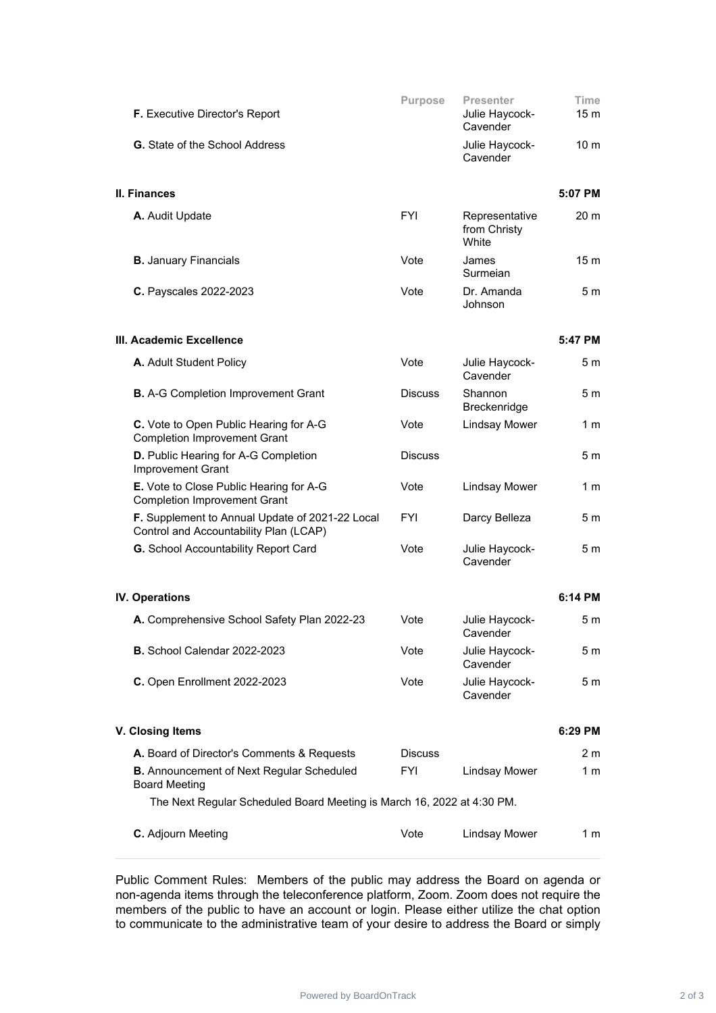| F. Executive Director's Report                                                            | <b>Purpose</b> | Presenter<br>Julie Haycock-<br>Cavender | <b>Time</b><br>15 m |  |
|-------------------------------------------------------------------------------------------|----------------|-----------------------------------------|---------------------|--|
| G. State of the School Address                                                            |                | Julie Haycock-<br>Cavender              | 10 <sub>m</sub>     |  |
| <b>II. Finances</b>                                                                       |                |                                         | 5:07 PM             |  |
| A. Audit Update                                                                           | <b>FYI</b>     | Representative<br>from Christy<br>White | 20 <sub>m</sub>     |  |
| <b>B.</b> January Financials                                                              | Vote           | James<br>Surmeian                       | 15 <sub>m</sub>     |  |
| C. Payscales 2022-2023                                                                    | Vote           | Dr. Amanda<br>Johnson                   | 5 m                 |  |
| III. Academic Excellence                                                                  |                |                                         | 5:47 PM             |  |
| A. Adult Student Policy                                                                   | Vote           | Julie Haycock-<br>Cavender              | 5 <sub>m</sub>      |  |
| <b>B.</b> A-G Completion Improvement Grant                                                | <b>Discuss</b> | Shannon<br>Breckenridge                 | 5 m                 |  |
| C. Vote to Open Public Hearing for A-G<br><b>Completion Improvement Grant</b>             | Vote           | <b>Lindsay Mower</b>                    | 1 m                 |  |
| D. Public Hearing for A-G Completion<br>Improvement Grant                                 | <b>Discuss</b> |                                         | 5 <sub>m</sub>      |  |
| E. Vote to Close Public Hearing for A-G<br><b>Completion Improvement Grant</b>            | Vote           | <b>Lindsay Mower</b>                    | 1 m                 |  |
| F. Supplement to Annual Update of 2021-22 Local<br>Control and Accountability Plan (LCAP) | <b>FYI</b>     | Darcy Belleza                           | 5 m                 |  |
| G. School Accountability Report Card                                                      | Vote           | Julie Haycock-<br>Cavender              | 5 m                 |  |
| <b>IV. Operations</b>                                                                     |                |                                         | 6:14 PM             |  |
| A. Comprehensive School Safety Plan 2022-23                                               | Vote           | Julie Haycock-<br>Cavender              | 5 m                 |  |
| <b>B.</b> School Calendar 2022-2023                                                       | Vote           | Julie Haycock-<br>Cavender              | 5 m                 |  |
| C. Open Enrollment 2022-2023                                                              | Vote           | Julie Haycock-<br>Cavender              | 5 m                 |  |
| V. Closing Items                                                                          |                |                                         | 6:29 PM             |  |
| A. Board of Director's Comments & Requests                                                | <b>Discuss</b> |                                         | 2 <sub>m</sub>      |  |
| <b>B.</b> Announcement of Next Regular Scheduled<br><b>Board Meeting</b>                  | <b>FYI</b>     | <b>Lindsay Mower</b>                    | 1 m                 |  |
| The Next Regular Scheduled Board Meeting is March 16, 2022 at 4:30 PM.                    |                |                                         |                     |  |
| C. Adjourn Meeting                                                                        | Vote           | <b>Lindsay Mower</b>                    | 1 m                 |  |

Public Comment Rules: Members of the public may address the Board on agenda or non-agenda items through the teleconference platform, Zoom. Zoom does not require the members of the public to have an account or login. Please either utilize the chat option to communicate to the administrative team of your desire to address the Board or simply